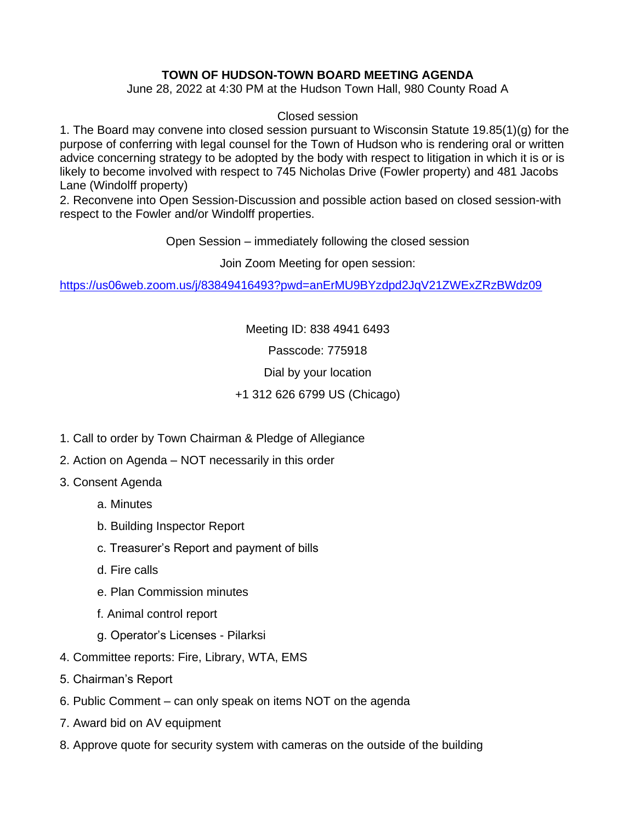## **TOWN OF HUDSON-TOWN BOARD MEETING AGENDA**

June 28, 2022 at 4:30 PM at the Hudson Town Hall, 980 County Road A

## Closed session

1. The Board may convene into closed session pursuant to Wisconsin Statute 19.85(1)(g) for the purpose of conferring with legal counsel for the Town of Hudson who is rendering oral or written advice concerning strategy to be adopted by the body with respect to litigation in which it is or is likely to become involved with respect to 745 Nicholas Drive (Fowler property) and 481 Jacobs Lane (Windolff property)

2. Reconvene into Open Session-Discussion and possible action based on closed session-with respect to the Fowler and/or Windolff properties.

Open Session – immediately following the closed session

Join Zoom Meeting for open session:

<https://us06web.zoom.us/j/83849416493?pwd=anErMU9BYzdpd2JqV21ZWExZRzBWdz09>

Meeting ID: 838 4941 6493

Passcode: 775918

Dial by your location

## +1 312 626 6799 US (Chicago)

- 1. Call to order by Town Chairman & Pledge of Allegiance
- 2. Action on Agenda NOT necessarily in this order
- 3. Consent Agenda
	- a. Minutes
	- b. Building Inspector Report
	- c. Treasurer's Report and payment of bills
	- d. Fire calls
	- e. Plan Commission minutes
	- f. Animal control report
	- g. Operator's Licenses Pilarksi
- 4. Committee reports: Fire, Library, WTA, EMS
- 5. Chairman's Report
- 6. Public Comment can only speak on items NOT on the agenda
- 7. Award bid on AV equipment
- 8. Approve quote for security system with cameras on the outside of the building